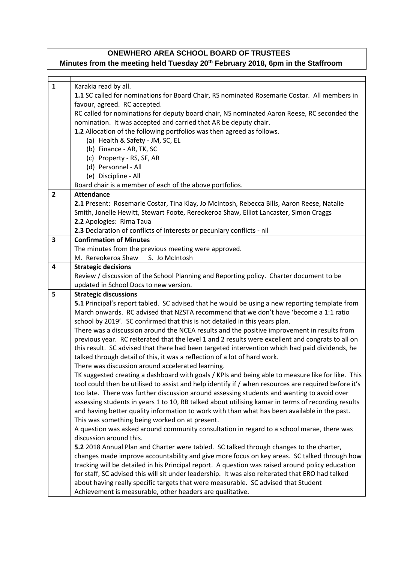## **ONEWHERO AREA SCHOOL BOARD OF TRUSTEES**

## **Minutes from the meeting held Tuesday 20th February 2018, 6pm in the Staffroom**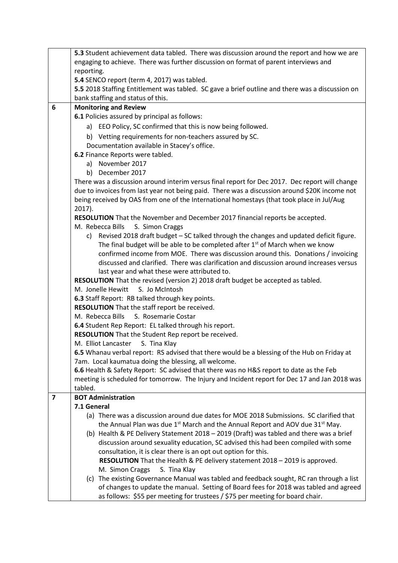|                         | 5.3 Student achievement data tabled. There was discussion around the report and how we are            |  |  |  |
|-------------------------|-------------------------------------------------------------------------------------------------------|--|--|--|
|                         | engaging to achieve. There was further discussion on format of parent interviews and                  |  |  |  |
|                         | reporting.                                                                                            |  |  |  |
|                         | 5.4 SENCO report (term 4, 2017) was tabled.                                                           |  |  |  |
|                         | 5.5 2018 Staffing Entitlement was tabled. SC gave a brief outline and there was a discussion on       |  |  |  |
|                         | bank staffing and status of this.                                                                     |  |  |  |
| 6                       | <b>Monitoring and Review</b>                                                                          |  |  |  |
|                         | 6.1 Policies assured by principal as follows:                                                         |  |  |  |
|                         | a) EEO Policy, SC confirmed that this is now being followed.                                          |  |  |  |
|                         | b) Vetting requirements for non-teachers assured by SC.                                               |  |  |  |
|                         | Documentation available in Stacey's office.                                                           |  |  |  |
|                         | 6.2 Finance Reports were tabled.                                                                      |  |  |  |
|                         | a) November 2017                                                                                      |  |  |  |
|                         | b) December 2017                                                                                      |  |  |  |
|                         | There was a discussion around interim versus final report for Dec 2017. Dec report will change        |  |  |  |
|                         | due to invoices from last year not being paid. There was a discussion around \$20K income not         |  |  |  |
|                         | being received by OAS from one of the International homestays (that took place in Jul/Aug             |  |  |  |
|                         | $2017$ ).                                                                                             |  |  |  |
|                         | RESOLUTION That the November and December 2017 financial reports be accepted.                         |  |  |  |
|                         | S. Simon Craggs<br>M. Rebecca Bills                                                                   |  |  |  |
|                         | c) Revised 2018 draft budget - SC talked through the changes and updated deficit figure.              |  |  |  |
|                         | The final budget will be able to be completed after 1 <sup>st</sup> of March when we know             |  |  |  |
|                         | confirmed income from MOE. There was discussion around this. Donations / invoicing                    |  |  |  |
|                         | discussed and clarified. There was clarification and discussion around increases versus               |  |  |  |
|                         | last year and what these were attributed to.                                                          |  |  |  |
|                         | RESOLUTION That the revised (version 2) 2018 draft budget be accepted as tabled.                      |  |  |  |
|                         | M. Jonelle Hewitt<br>S. Jo McIntosh                                                                   |  |  |  |
|                         | 6.3 Staff Report: RB talked through key points.                                                       |  |  |  |
|                         | RESOLUTION That the staff report be received.                                                         |  |  |  |
|                         | M. Rebecca Bills S. Rosemarie Costar                                                                  |  |  |  |
|                         | 6.4 Student Rep Report: EL talked through his report.                                                 |  |  |  |
|                         | RESOLUTION That the Student Rep report be received.                                                   |  |  |  |
|                         | S. Tina Klay<br>M. Elliot Lancaster                                                                   |  |  |  |
|                         | 6.5 Whanau verbal report: RS advised that there would be a blessing of the Hub on Friday at           |  |  |  |
|                         | 7am. Local kaumatua doing the blessing, all welcome.                                                  |  |  |  |
|                         | 6.6 Health & Safety Report: SC advised that there was no H&S report to date as the Feb                |  |  |  |
|                         | meeting is scheduled for tomorrow. The Injury and Incident report for Dec 17 and Jan 2018 was         |  |  |  |
|                         | tabled.                                                                                               |  |  |  |
| $\overline{\mathbf{z}}$ | <b>BOT Administration</b><br>7.1 General                                                              |  |  |  |
|                         | (a) There was a discussion around due dates for MOE 2018 Submissions. SC clarified that               |  |  |  |
|                         | the Annual Plan was due 1 <sup>st</sup> March and the Annual Report and AOV due 31 <sup>st</sup> May. |  |  |  |
|                         | (b) Health & PE Delivery Statement 2018 - 2019 (Draft) was tabled and there was a brief               |  |  |  |
|                         | discussion around sexuality education, SC advised this had been compiled with some                    |  |  |  |
|                         | consultation, it is clear there is an opt out option for this.                                        |  |  |  |
|                         | RESOLUTION That the Health & PE delivery statement 2018 - 2019 is approved.                           |  |  |  |
|                         | M. Simon Craggs<br>S. Tina Klay                                                                       |  |  |  |
|                         | (c) The existing Governance Manual was tabled and feedback sought, RC ran through a list              |  |  |  |
|                         | of changes to update the manual. Setting of Board fees for 2018 was tabled and agreed                 |  |  |  |
|                         | as follows: \$55 per meeting for trustees / \$75 per meeting for board chair.                         |  |  |  |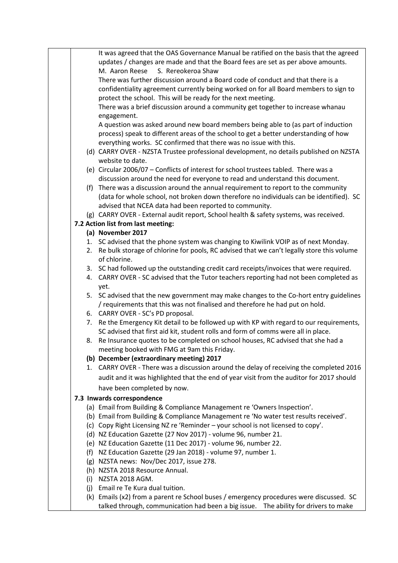|  | It was agreed that the OAS Governance Manual be ratified on the basis that the agreed        |
|--|----------------------------------------------------------------------------------------------|
|  | updates / changes are made and that the Board fees are set as per above amounts.             |
|  | S. Rereokeroa Shaw<br>M. Aaron Reese                                                         |
|  | There was further discussion around a Board code of conduct and that there is a              |
|  | confidentiality agreement currently being worked on for all Board members to sign to         |
|  | protect the school. This will be ready for the next meeting.                                 |
|  | There was a brief discussion around a community get together to increase whanau              |
|  | engagement.                                                                                  |
|  | A question was asked around new board members being able to (as part of induction            |
|  | process) speak to different areas of the school to get a better understanding of how         |
|  | everything works. SC confirmed that there was no issue with this.                            |
|  | (d) CARRY OVER - NZSTA Trustee professional development, no details published on NZSTA       |
|  | website to date.                                                                             |
|  | (e) Circular 2006/07 - Conflicts of interest for school trustees tabled. There was a         |
|  | discussion around the need for everyone to read and understand this document.                |
|  | (f) There was a discussion around the annual requirement to report to the community          |
|  | (data for whole school, not broken down therefore no individuals can be identified). SC      |
|  | advised that NCEA data had been reported to community.                                       |
|  | (g) CARRY OVER - External audit report, School health & safety systems, was received.        |
|  | 7.2 Action list from last meeting:                                                           |
|  | (a) November 2017                                                                            |
|  | 1. SC advised that the phone system was changing to Kiwilink VOIP as of next Monday.         |
|  | 2. Re bulk storage of chlorine for pools, RC advised that we can't legally store this volume |
|  | of chlorine.                                                                                 |
|  | 3. SC had followed up the outstanding credit card receipts/invoices that were required.      |
|  | 4. CARRY OVER - SC advised that the Tutor teachers reporting had not been completed as       |
|  | yet.                                                                                         |
|  | 5. SC advised that the new government may make changes to the Co-hort entry guidelines       |
|  | / requirements that this was not finalised and therefore he had put on hold.                 |
|  | 6. CARRY OVER - SC's PD proposal.                                                            |
|  | 7. Re the Emergency Kit detail to be followed up with KP with regard to our requirements,    |
|  | SC advised that first aid kit, student rolls and form of comms were all in place.            |
|  | 8. Re Insurance quotes to be completed on school houses, RC advised that she had a           |
|  | meeting booked with FMG at 9am this Friday.                                                  |
|  | (b) December (extraordinary meeting) 2017                                                    |
|  | 1. CARRY OVER - There was a discussion around the delay of receiving the completed 2016      |
|  | audit and it was highlighted that the end of year visit from the auditor for 2017 should     |
|  | have been completed by now.                                                                  |
|  | 7.3 Inwards correspondence                                                                   |
|  | (a) Email from Building & Compliance Management re 'Owners Inspection'.                      |
|  | (b) Email from Building & Compliance Management re 'No water test results received'.         |
|  | (c) Copy Right Licensing NZ re 'Reminder - your school is not licensed to copy'.             |
|  | (d) NZ Education Gazette (27 Nov 2017) - volume 96, number 21.                               |
|  | (e) NZ Education Gazette (11 Dec 2017) - volume 96, number 22.                               |
|  | (f) NZ Education Gazette (29 Jan 2018) - volume 97, number 1.                                |
|  | (g) NZSTA news: Nov/Dec 2017, issue 278.                                                     |
|  | (h) NZSTA 2018 Resource Annual.                                                              |
|  | (i) NZSTA 2018 AGM.                                                                          |
|  | (j) Email re Te Kura dual tuition.                                                           |
|  | (k) Emails (x2) from a parent re School buses / emergency procedures were discussed. SC      |
|  | talked through, communication had been a big issue.  The ability for drivers to make         |
|  |                                                                                              |